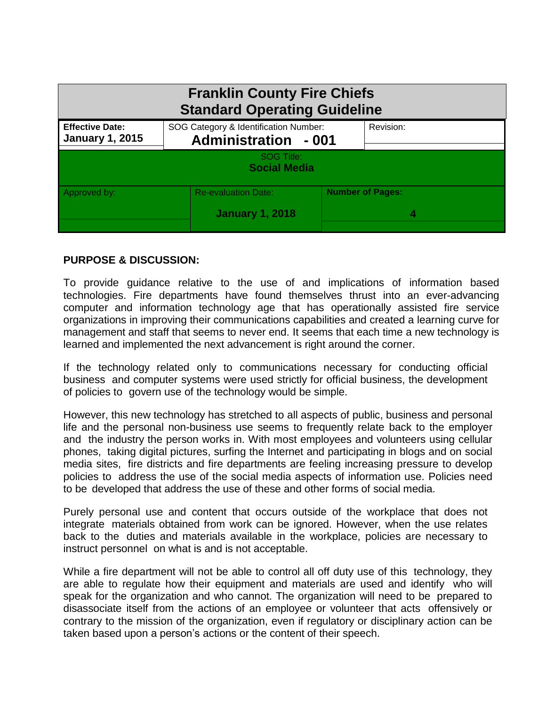| <b>Franklin County Fire Chiefs</b><br><b>Standard Operating Guideline</b> |                                                      |                             |  |
|---------------------------------------------------------------------------|------------------------------------------------------|-----------------------------|--|
| <b>Effective Date:</b><br><b>January 1, 2015</b>                          | SOG Category & Identification Number:                | <b>Administration - 001</b> |  |
| SOG Title:<br><b>Social Media</b>                                         |                                                      |                             |  |
| Approved by:                                                              | <b>Re-evaluation Date:</b><br><b>January 1, 2018</b> | <b>Number of Pages:</b>     |  |

## **PURPOSE & DISCUSSION:**

To provide guidance relative to the use of and implications of information based technologies. Fire departments have found themselves thrust into an ever-advancing computer and information technology age that has operationally assisted fire service organizations in improving their communications capabilities and created a learning curve for management and staff that seems to never end. It seems that each time a new technology is learned and implemented the next advancement is right around the corner.

If the technology related only to communications necessary for conducting official business and computer systems were used strictly for official business, the development of policies to govern use of the technology would be simple.

However, this new technology has stretched to all aspects of public, business and personal life and the personal non-business use seems to frequently relate back to the employer and the industry the person works in. With most employees and volunteers using cellular phones, taking digital pictures, surfing the Internet and participating in blogs and on social media sites, fire districts and fire departments are feeling increasing pressure to develop policies to address the use of the social media aspects of information use. Policies need to be developed that address the use of these and other forms of social media.

Purely personal use and content that occurs outside of the workplace that does not integrate materials obtained from work can be ignored. However, when the use relates back to the duties and materials available in the workplace, policies are necessary to instruct personnel on what is and is not acceptable.

While a fire department will not be able to control all off duty use of this technology, they are able to regulate how their equipment and materials are used and identify who will speak for the organization and who cannot. The organization will need to be prepared to disassociate itself from the actions of an employee or volunteer that acts offensively or contrary to the mission of the organization, even if regulatory or disciplinary action can be taken based upon a person's actions or the content of their speech.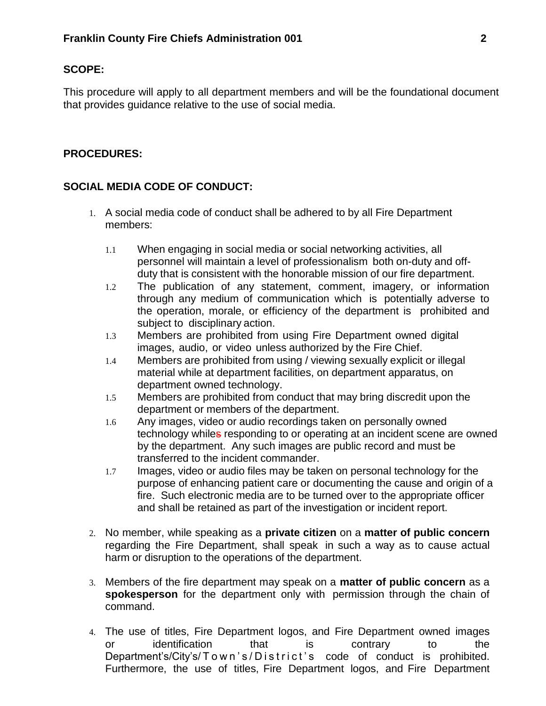### **SCOPE:**

This procedure will apply to all department members and will be the foundational document that provides guidance relative to the use of social media.

### **PROCEDURES:**

### **SOCIAL MEDIA CODE OF CONDUCT:**

- 1. A social media code of conduct shall be adhered to by all Fire Department members:
	- 1.1 When engaging in social media or social networking activities, all personnel will maintain a level of professionalism both on-duty and offduty that is consistent with the honorable mission of our fire department.
	- 1.2 The publication of any statement, comment, imagery, or information through any medium of communication which is potentially adverse to the operation, morale, or efficiency of the department is prohibited and subject to disciplinary action.
	- 1.3 Members are prohibited from using Fire Department owned digital images, audio, or video unless authorized by the Fire Chief.
	- 1.4 Members are prohibited from using / viewing sexually explicit or illegal material while at department facilities, on department apparatus, on department owned technology.
	- 1.5 Members are prohibited from conduct that may bring discredit upon the department or members of the department.
	- 1.6 Any images, video or audio recordings taken on personally owned technology whiles responding to or operating at an incident scene are owned by the department. Any such images are public record and must be transferred to the incident commander.
	- 1.7 Images, video or audio files may be taken on personal technology for the purpose of enhancing patient care or documenting the cause and origin of a fire. Such electronic media are to be turned over to the appropriate officer and shall be retained as part of the investigation or incident report.
- 2. No member, while speaking as a **private citizen** on a **matter of public concern** regarding the Fire Department, shall speak in such a way as to cause actual harm or disruption to the operations of the department.
- 3. Members of the fire department may speak on a **matter of public concern** as a **spokesperson** for the department only with permission through the chain of command.
- 4. The use of titles, Fire Department logos, and Fire Department owned images or identification that is contrary to the Department's/City's/Town's/District's code of conduct is prohibited. Furthermore, the use of titles, Fire Department logos, and Fire Department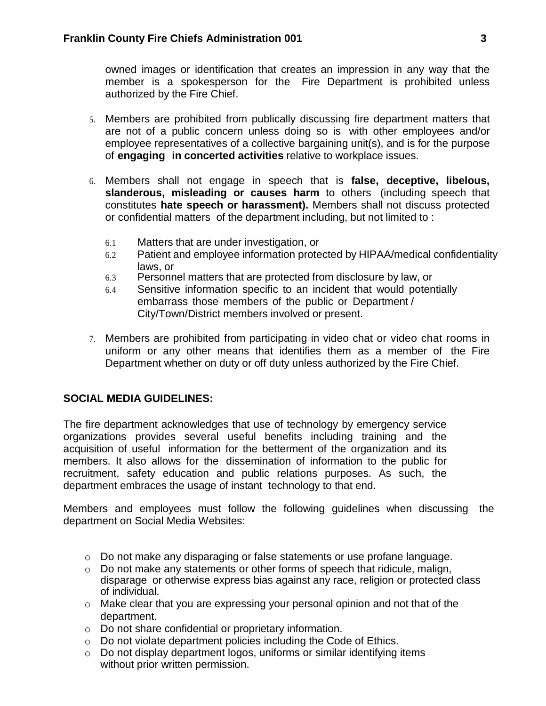owned images or identification that creates an impression in any way that the member is a spokesperson for the Fire Department is prohibited unless authorized by the Fire Chief.

- 5. Members are prohibited from publically discussing fire department matters that are not of a public concern unless doing so is with other employees and/or employee representatives of a collective bargaining unit(s), and is for the purpose of **engaging in concerted activities** relative to workplace issues.
- 6. Members shall not engage in speech that is **false, deceptive, libelous, slanderous, misleading or causes harm** to others (including speech that constitutes **hate speech or harassment).** Members shall not discuss protected or confidential matters of the department including, but not limited to :
	- 6.1 Matters that are under investigation, or
	- 6.2 Patient and employee information protected by HIPAA/medical confidentiality laws, or
	- 6.3 Personnel matters that are protected from disclosure by law, or
	- 6.4 Sensitive information specific to an incident that would potentially embarrass those members of the public or Department / City/Town/District members involved or present.
- 7. Members are prohibited from participating in video chat or video chat rooms in uniform or any other means that identifies them as a member of the Fire Department whether on duty or off duty unless authorized by the Fire Chief.

# **SOCIAL MEDIA GUIDELINES:**

The fire department acknowledges that use of technology by emergency service organizations provides several useful benefits including training and the acquisition of useful information for the betterment of the organization and its members. It also allows for the dissemination of information to the public for recruitment, safety education and public relations purposes. As such, the department embraces the usage of instant technology to that end.

Members and employees must follow the following guidelines when discussing the department on Social Media Websites:

- $\circ$  Do not make any disparaging or false statements or use profane language.
- o Do not make any statements or other forms of speech that ridicule, malign, disparage or otherwise express bias against any race, religion or protected class of individual.
- $\circ$  Make clear that you are expressing your personal opinion and not that of the department.
- o Do not share confidential or proprietary information.
- o Do not violate department policies including the Code of Ethics.
- o Do not display department logos, uniforms or similar identifying items without prior written permission.